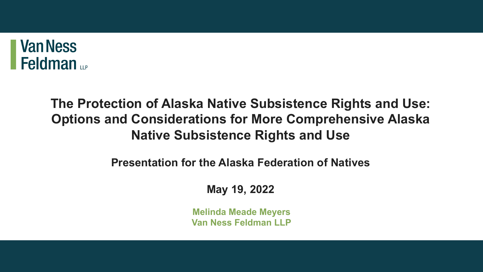

#### **The Protection of Alaska Native Subsistence Rights and Use: Options and Considerations for More Comprehensive Alaska Native Subsistence Rights and Use**

**Presentation for the Alaska Federation of Natives** 

**May 19, 2022**

**Melinda Meade Meyers Van Ness Feldman LLP**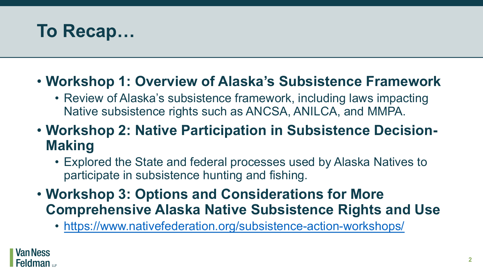## **To Recap…**

**Van Ness** 

Feldman <sub>up</sub>

#### **• Workshop 1: Overview of Alaska's Substand**

- Review of Alaska's subsistence framework, in Native subsistence rights such as ANCSA, AN
- **Workshop 2: Native Participation in Sul Making**
	- Explored the State and federal processes use participate in subsistence hunting and fishing.
- **Workshop 3: Options and Consideratio Comprehensive Alaska Native Subsiste** 
	- https://www.nativefederation.org/subsistence-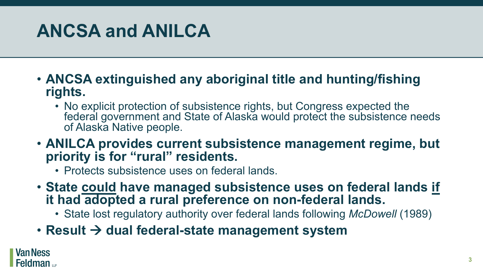## **ANCSA and ANILCA**

- **ANCSA extinguished any aboriginal title and hunting/fishing rights.**
	- No explicit protection of subsistence rights, but Congress expected the federal government and State of Alaska would protect the subsistence needs of Alaska Native people.
- **ANILCA provides current subsistence management regime, but priority is for "rural" residents.**
	- Protects subsistence uses on federal lands.
- **State could have managed subsistence uses on federal lands if it had adopted a rural preference on non-federal lands.**
	- State lost regulatory authority over federal lands following *McDowell* (1989)
- Result  $\rightarrow$  dual federal-state management system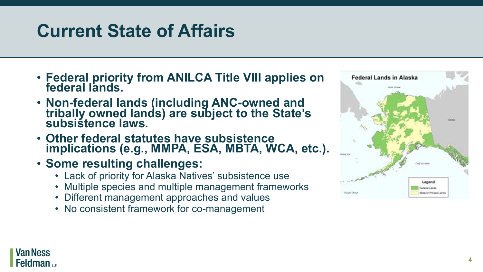## **Current State of Affairs**

- **Federal priority from ANILCA Title VIII applies on federal lands.**
- **Non-federal lands (including ANC-owned and tribally owned lands) are subject to the State's subsistence laws.**
- **Other federal statutes have subsistence implications (e.g., MMPA, ESA, MBTA, WCA, etc.).**
- **Some resulting challenges:**
	- Lack of priority for Alaska Natives' subsistence use
	- Multiple species and multiple management frameworks
	- Different management approaches and values
	- No consistent framework for co-management



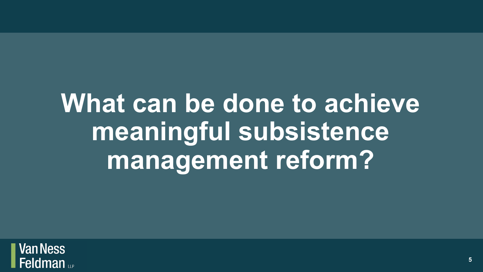## **What can be done to achieve meaningful subsistence management reform?**

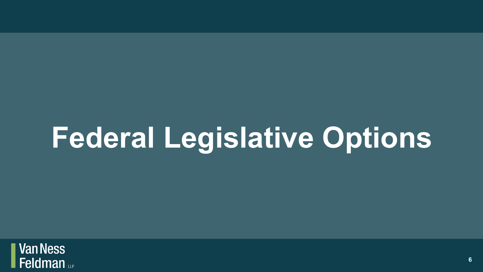# **Federal Legislative Options**

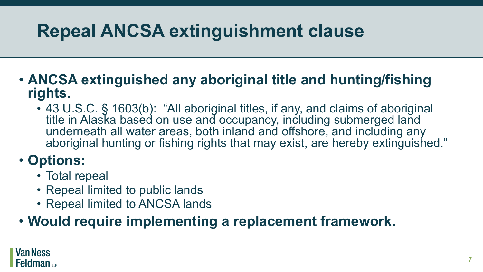## **Repeal ANCSA extinguishment clause**

#### • **ANCSA extinguished any aboriginal title and hunting/fishing rights.**

• 43 U.S.C. § 1603(b): "All aboriginal titles, if any, and claims of aboriginal title in Alaska based on use and occupancy, including submerged land underneath all water areas, both inland and offshore, and including any aboriginal hunting or fishing rights that may exist, are hereby extinguished."

#### • **Options:**

- Total repeal
- Repeal limited to public lands
- Repeal limited to ANCSA lands

#### • **Would require implementing a replacement framework.**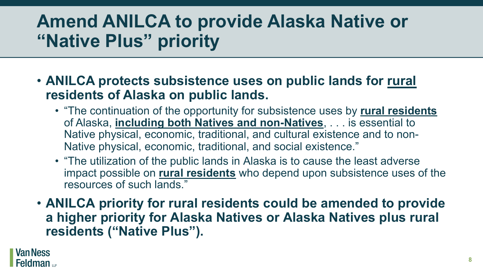## **Amend ANILCA to provide Alaska Native or "Native Plus" priority**

- **ANILCA protects subsistence uses on public lands for rural residents of Alaska on public lands.**
	- "The continuation of the opportunity for subsistence uses by **rural residents** of Alaska, **including both Natives and non-Natives**, . . . is essential to Native physical, economic, traditional, and cultural existence and to non-Native physical, economic, traditional, and social existence."
	- "The utilization of the public lands in Alaska is to cause the least adverse impact possible on **rural residents** who depend upon subsistence uses of the resources of such lands."
- **ANILCA priority for rural residents could be amended to provide a higher priority for Alaska Natives or Alaska Natives plus rural residents ("Native Plus").**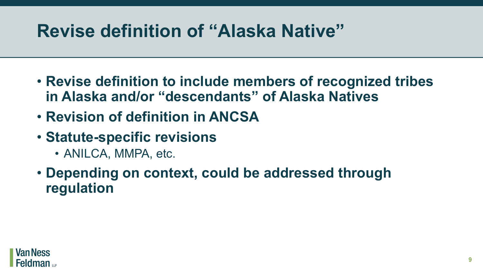## **Revise definition of "Alaska Native"**

- **Revise definition to include members of recognized tribes in Alaska and/or "descendants" of Alaska Natives**
- **Revision of definition in ANCSA**
- **Statute-specific revisions**
	- ANILCA, MMPA, etc.
- **Depending on context, could be addressed through regulation**

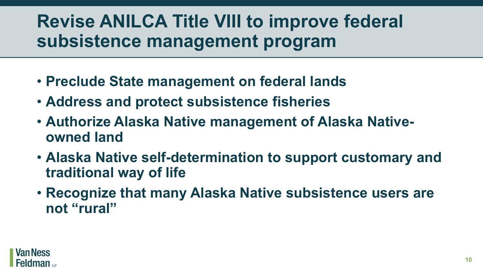## **Revise ANILCA Title VIII to improve federal subsistence management program**

- **Preclude State management on federal lands**
- **Address and protect subsistence fisheries**
- **Authorize Alaska Native management of Alaska Nativeowned land**
- **Alaska Native self-determination to support customary and traditional way of life**
- **Recognize that many Alaska Native subsistence users are not "rural"**

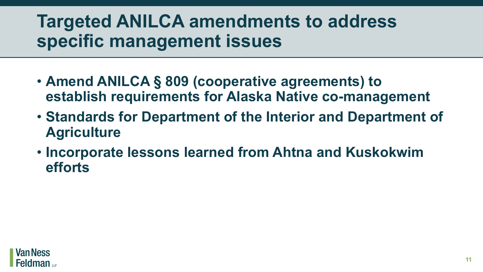## **Targeted ANILCA amendments to address specific management issues**

- **Amend ANILCA § 809 (cooperative agreements) to establish requirements for Alaska Native co-management**
- **Standards for Department of the Interior and Department of Agriculture**
- **Incorporate lessons learned from Ahtna and Kuskokwim efforts**

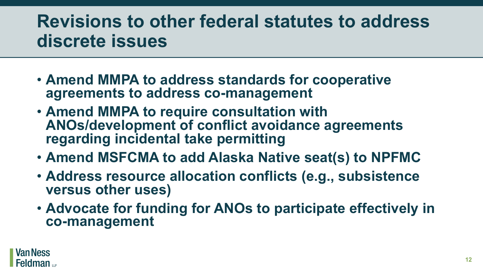## **Revisions to other federal statutes to address discrete issues**

- **Amend MMPA to address standards for cooperative agreements to address co-management**
- **Amend MMPA to require consultation with ANOs/development of conflict avoidance agreements regarding incidental take permitting**
- **Amend MSFCMA to add Alaska Native seat(s) to NPFMC**
- **Address resource allocation conflicts (e.g., subsistence versus other uses)**
- **Advocate for funding for ANOs to participate effectively in co-management**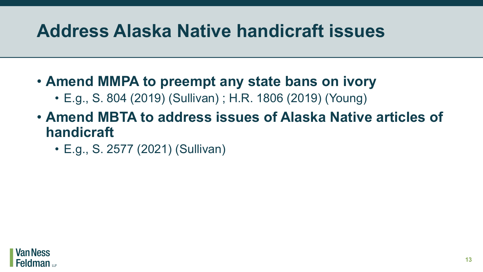## **Address Alaska Native handicraft issues**

- **Amend MMPA to preempt any state bans on ivory**
	- E.g., S. 804 (2019) (Sullivan) ; H.R. 1806 (2019) (Young)
- **Amend MBTA to address issues of Alaska Native articles of handicraft** 
	- E.g., S. 2577 (2021) (Sullivan)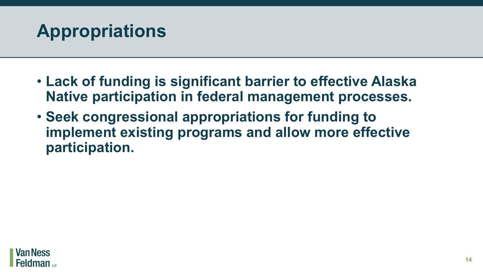

- **Lack of funding is significant barrier to effective Alaska Native participation in federal management processes.**
- **Seek congressional appropriations for funding to implement existing programs and allow more effective participation.**

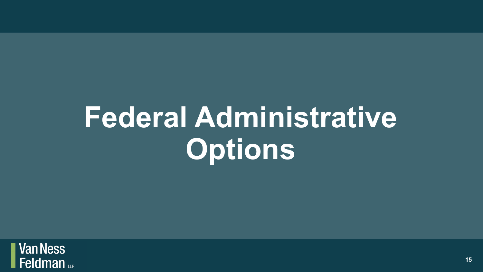# **Federal Administrative Options**

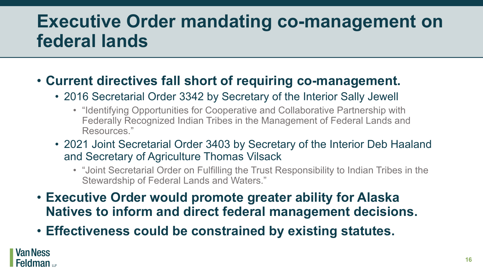## **Executive Order mandating co-management on federal lands**

#### • **Current directives fall short of requiring co-management.**

- 2016 Secretarial Order 3342 by Secretary of the Interior Sally Jewell
	- "Identifying Opportunities for Cooperative and Collaborative Partnership with Federally Recognized Indian Tribes in the Management of Federal Lands and Resources."
- 2021 Joint Secretarial Order 3403 by Secretary of the Interior Deb Haaland and Secretary of Agriculture Thomas Vilsack
	- "Joint Secretarial Order on Fulfilling the Trust Responsibility to Indian Tribes in the Stewardship of Federal Lands and Waters."
- **Executive Order would promote greater ability for Alaska Natives to inform and direct federal management decisions.**
- **Effectiveness could be constrained by existing statutes.**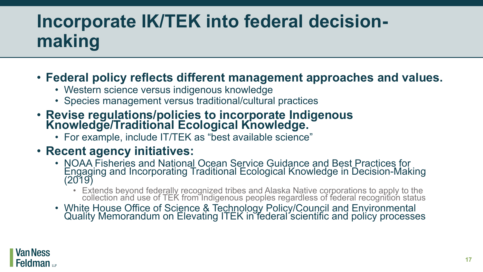## **Incorporate IK/TEK into federal decisionmaking**

#### • **Federal policy reflects different management approaches and values.**

- Western science versus indigenous knowledge
- Species management versus traditional/cultural practices
- **Revise regulations/policies to incorporate Indigenous Knowledge/Traditional Ecological Knowledge.**
	- For example, include IT/TEK as "best available science"

#### • **Recent agency initiatives:**

- NOAA Fisheries and National Ocean Service Guidance and Best Practices for Engaging and Incorporating Traditional Ecological Knowledge in Decision-Making (2019)
	- Extends beyond federally recognized tribes and Alaska Native corporations to apply to the collection and use of TEK from Indigenous peoples regardless of federal recognition status
- White House Office of Science & Technology Policy/Council and Environmental Quality Memorandum on Elevating ITEK in federal scientific and policy processes

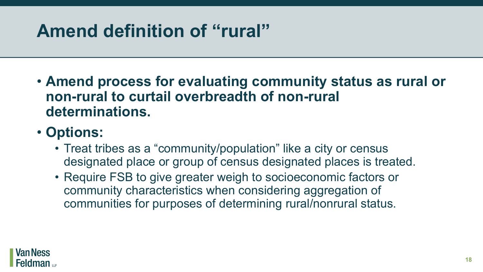## **Amend definition of "rural"**

• **Amend process for evaluating community status as rural or non-rural to curtail overbreadth of non-rural determinations.**

#### • **Options:**

- Treat tribes as a "community/population" like a city or census designated place or group of census designated places is treated.
- Require FSB to give greater weigh to socioeconomic factors or community characteristics when considering aggregation of communities for purposes of determining rural/nonrural status.

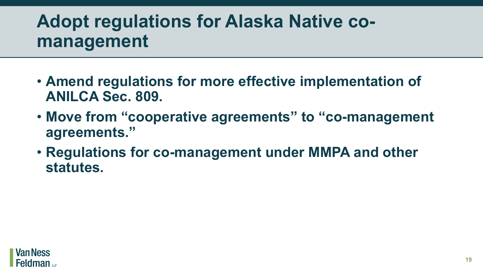## **Adopt regulations for Alaska Native comanagement**

- **Amend regulations for more effective implementation of ANILCA Sec. 809.**
- **Move from "cooperative agreements" to "co-management agreements."**
- **Regulations for co-management under MMPA and other statutes.**

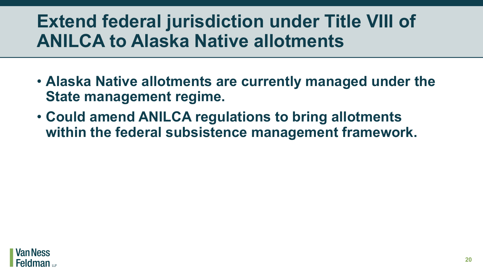## **Extend federal jurisdiction under Title VIII of ANILCA to Alaska Native allotments**

- **Alaska Native allotments are currently managed under the State management regime.**
- **Could amend ANILCA regulations to bring allotments within the federal subsistence management framework.**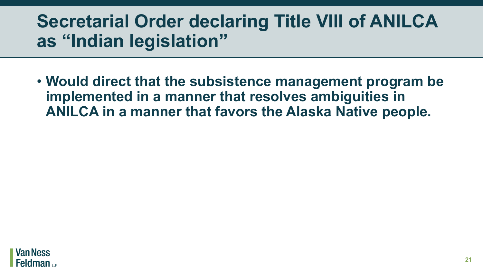## **Secretarial Order declaring Title VIII of ANILCA as "Indian legislation"**

• **Would direct that the subsistence management program be implemented in a manner that resolves ambiguities in ANILCA in a manner that favors the Alaska Native people.**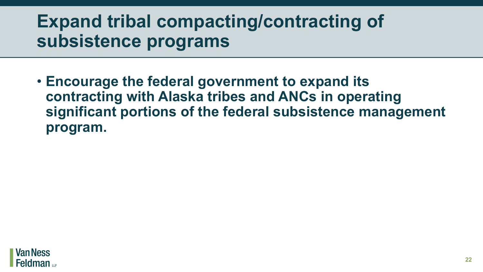## **Expand tribal compacting/contracting of subsistence programs**

• **Encourage the federal government to expand its contracting with Alaska tribes and ANCs in operating significant portions of the federal subsistence management program.**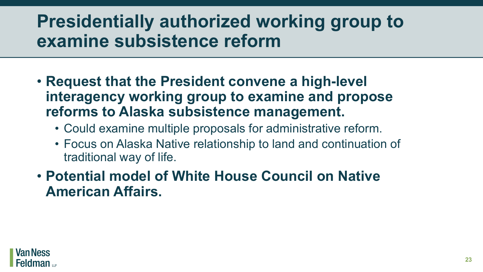## **Presidentially authorized working group to examine subsistence reform**

- **Request that the President convene a high-level interagency working group to examine and propose reforms to Alaska subsistence management.**
	- Could examine multiple proposals for administrative reform.
	- Focus on Alaska Native relationship to land and continuation of traditional way of life.

• **Potential model of White House Council on Native American Affairs.**

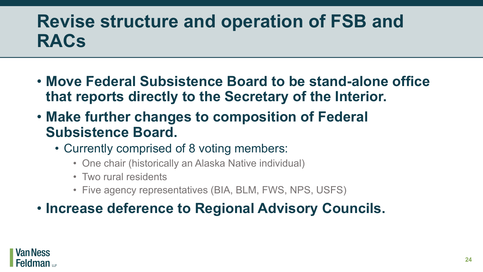## **Revise structure and operation of FSB and RACs**

- **Move Federal Subsistence Board to be stand-alone office that reports directly to the Secretary of the Interior.**
- **Make further changes to composition of Federal Subsistence Board.** 
	- Currently comprised of 8 voting members:
		- One chair (historically an Alaska Native individual)
		- Two rural residents
		- Five agency representatives (BIA, BLM, FWS, NPS, USFS)
- **Increase deference to Regional Advisory Councils.**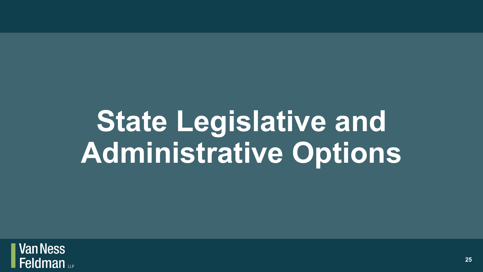# **State Legislative and Administrative Options**

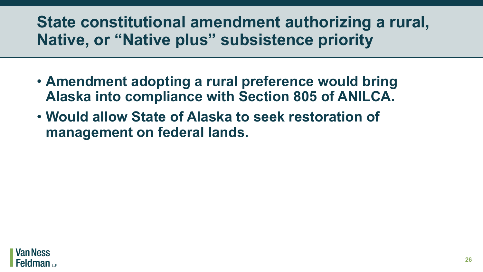#### **State constitutional amendment authorizing a rural, Native, or "Native plus" subsistence priority**

- **Amendment adopting a rural preference would bring Alaska into compliance with Section 805 of ANILCA.**
- **Would allow State of Alaska to seek restoration of management on federal lands.**

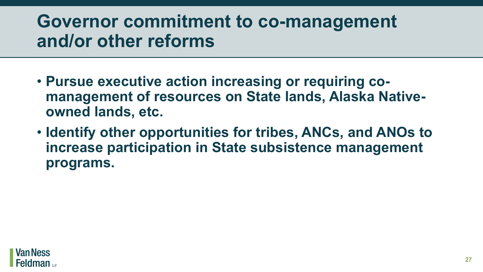### **Governor commitment to co-management and/or other reforms**

- **Pursue executive action increasing or requiring comanagement of resources on State lands, Alaska Nativeowned lands, etc.**
- **Identify other opportunities for tribes, ANCs, and ANOs to increase participation in State subsistence management programs.**